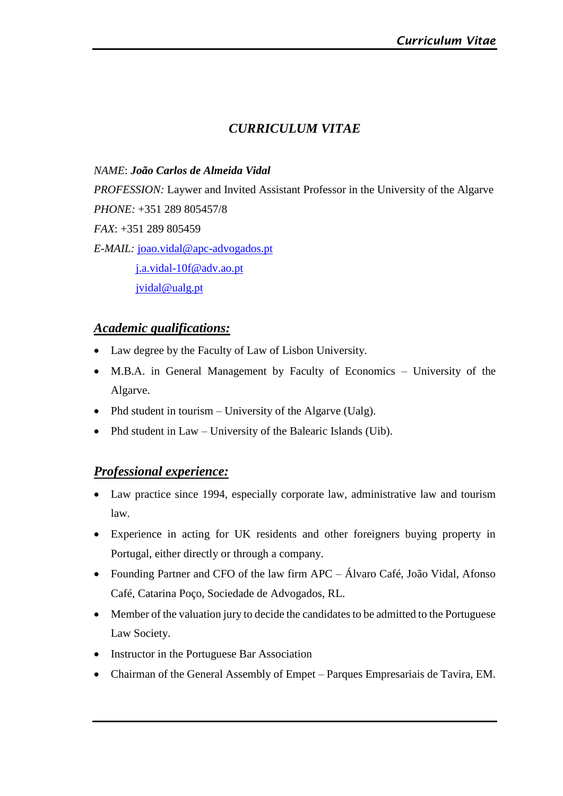# *CURRICULUM VITAE*

#### *NAME*: *João Carlos de Almeida Vidal*

*PROFESSION:* Laywer and Invited Assistant Professor in the University of the Algarve *PHONE:* +351 289 805457/8 *FAX*: +351 289 805459 *E-MAIL:* [joao.vidal@apc-advogados.pt](mailto:joao.vidal@apc-advogados.pt) [j.a.vidal-10f@adv.ao.pt](mailto:j.a.vidal-10f@adv.ao.pt) [jvidal@ualg.pt](mailto:jvidal@ualg.pt)

## *Academic qualifications:*

- Law degree by the Faculty of Law of Lisbon University.
- M.B.A. in General Management by Faculty of Economics University of the Algarve.
- Phd student in tourism University of the Algarve (Ualg).
- Phd student in Law University of the Balearic Islands (Uib).

## *Professional experience:*

- Law practice since 1994, especially corporate law, administrative law and tourism law.
- Experience in acting for UK residents and other foreigners buying property in Portugal, either directly or through a company.
- Founding Partner and CFO of the law firm APC Álvaro Café, João Vidal, Afonso Café, Catarina Poço, Sociedade de Advogados, RL.
- Member of the valuation jury to decide the candidates to be admitted to the Portuguese Law Society.
- Instructor in the Portuguese Bar Association
- Chairman of the General Assembly of Empet Parques Empresariais de Tavira, EM.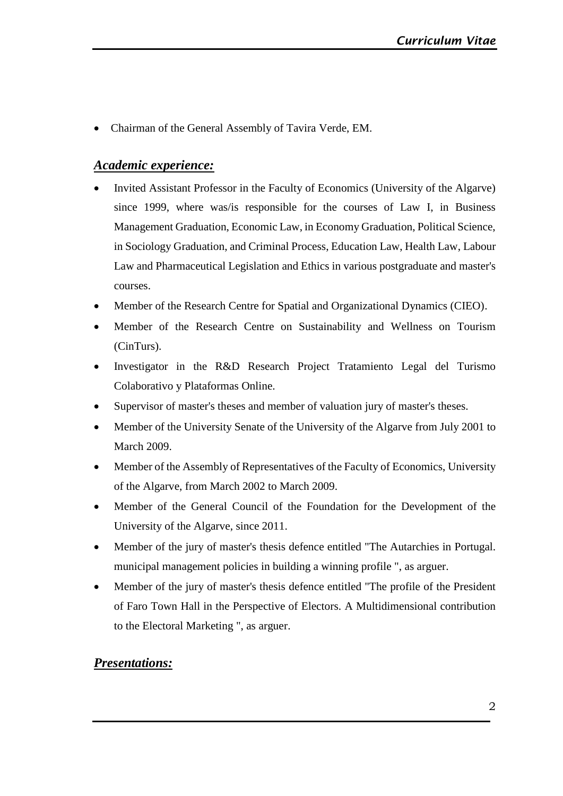• Chairman of the General Assembly of Tavira Verde, EM.

## *Academic experience:*

- Invited Assistant Professor in the Faculty of Economics (University of the Algarve) since 1999, where was/is responsible for the courses of Law I, in Business Management Graduation, Economic Law, in Economy Graduation, Political Science, in Sociology Graduation, and Criminal Process, Education Law, Health Law, Labour Law and Pharmaceutical Legislation and Ethics in various postgraduate and master's courses.
- Member of the Research Centre for Spatial and Organizational Dynamics (CIEO).
- Member of the Research Centre on Sustainability and Wellness on Tourism (CinTurs).
- Investigator in the R&D Research Project Tratamiento Legal del Turismo Colaborativo y Plataformas Online.
- Supervisor of master's theses and member of valuation jury of master's theses.
- Member of the University Senate of the University of the Algarve from July 2001 to March 2009.
- Member of the Assembly of Representatives of the Faculty of Economics, University of the Algarve, from March 2002 to March 2009.
- Member of the General Council of the Foundation for the Development of the University of the Algarve, since 2011.
- Member of the jury of master's thesis defence entitled "The Autarchies in Portugal. municipal management policies in building a winning profile ", as arguer.
- Member of the jury of master's thesis defence entitled "The profile of the President of Faro Town Hall in the Perspective of Electors. A Multidimensional contribution to the Electoral Marketing ", as arguer.

## *Presentations:*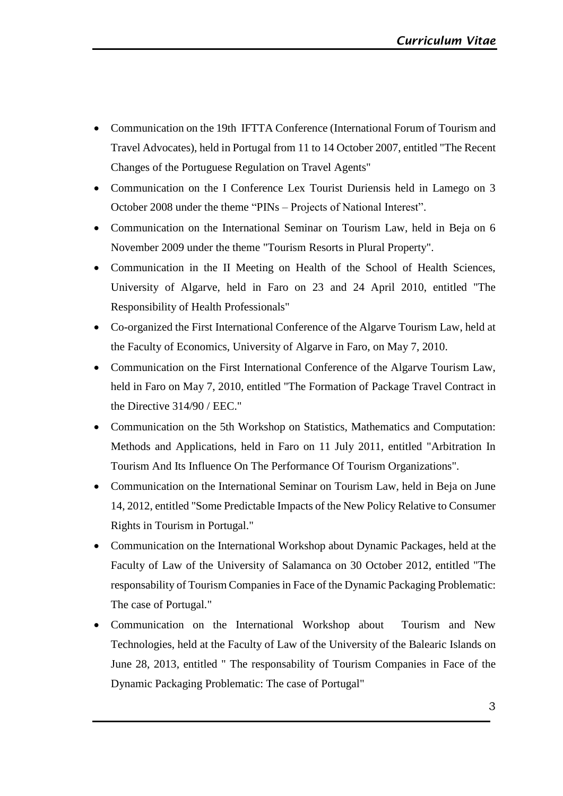- Communication on the 19th IFTTA Conference (International Forum of Tourism and Travel Advocates), held in Portugal from 11 to 14 October 2007, entitled "The Recent Changes of the Portuguese Regulation on Travel Agents"
- Communication on the I Conference Lex Tourist Duriensis held in Lamego on 3 October 2008 under the theme "PINs – Projects of National Interest".
- Communication on the International Seminar on Tourism Law, held in Beja on 6 November 2009 under the theme "Tourism Resorts in Plural Property".
- Communication in the II Meeting on Health of the School of Health Sciences, University of Algarve, held in Faro on 23 and 24 April 2010, entitled "The Responsibility of Health Professionals"
- Co-organized the First International Conference of the Algarve Tourism Law, held at the Faculty of Economics, University of Algarve in Faro, on May 7, 2010.
- Communication on the First International Conference of the Algarve Tourism Law, held in Faro on May 7, 2010, entitled "The Formation of Package Travel Contract in the Directive 314/90 / EEC."
- Communication on the 5th Workshop on Statistics, Mathematics and Computation: Methods and Applications, held in Faro on 11 July 2011, entitled "Arbitration In Tourism And Its Influence On The Performance Of Tourism Organizations".
- Communication on the International Seminar on Tourism Law, held in Beja on June 14, 2012, entitled "Some Predictable Impacts of the New Policy Relative to Consumer Rights in Tourism in Portugal."
- Communication on the International Workshop about Dynamic Packages, held at the Faculty of Law of the University of Salamanca on 30 October 2012, entitled "The responsability of Tourism Companiesin Face of the Dynamic Packaging Problematic: The case of Portugal."
- Communication on the International Workshop about Tourism and New Technologies, held at the Faculty of Law of the University of the Balearic Islands on June 28, 2013, entitled " The responsability of Tourism Companies in Face of the Dynamic Packaging Problematic: The case of Portugal"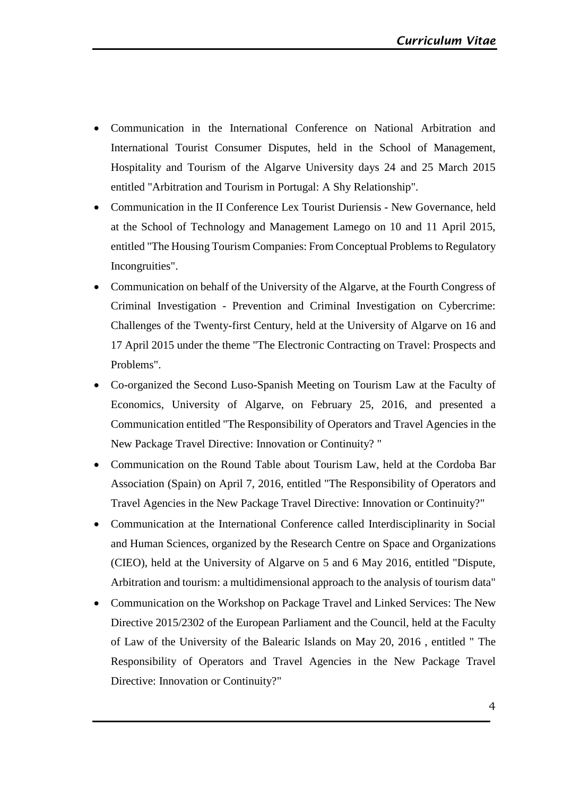- Communication in the International Conference on National Arbitration and International Tourist Consumer Disputes, held in the School of Management, Hospitality and Tourism of the Algarve University days 24 and 25 March 2015 entitled "Arbitration and Tourism in Portugal: A Shy Relationship".
- Communication in the II Conference Lex Tourist Duriensis New Governance, held at the School of Technology and Management Lamego on 10 and 11 April 2015, entitled "The Housing Tourism Companies: From Conceptual Problems to Regulatory Incongruities".
- Communication on behalf of the University of the Algarve, at the Fourth Congress of Criminal Investigation - Prevention and Criminal Investigation on Cybercrime: Challenges of the Twenty-first Century, held at the University of Algarve on 16 and 17 April 2015 under the theme "The Electronic Contracting on Travel: Prospects and Problems".
- Co-organized the Second Luso-Spanish Meeting on Tourism Law at the Faculty of Economics, University of Algarve, on February 25, 2016, and presented a Communication entitled "The Responsibility of Operators and Travel Agencies in the New Package Travel Directive: Innovation or Continuity? "
- Communication on the Round Table about Tourism Law, held at the Cordoba Bar Association (Spain) on April 7, 2016, entitled "The Responsibility of Operators and Travel Agencies in the New Package Travel Directive: Innovation or Continuity?"
- Communication at the International Conference called Interdisciplinarity in Social and Human Sciences, organized by the Research Centre on Space and Organizations (CIEO), held at the University of Algarve on 5 and 6 May 2016, entitled "Dispute, Arbitration and tourism: a multidimensional approach to the analysis of tourism data"
- Communication on the Workshop on Package Travel and Linked Services: The New Directive 2015/2302 of the European Parliament and the Council, held at the Faculty of Law of the University of the Balearic Islands on May 20, 2016 , entitled " The Responsibility of Operators and Travel Agencies in the New Package Travel Directive: Innovation or Continuity?"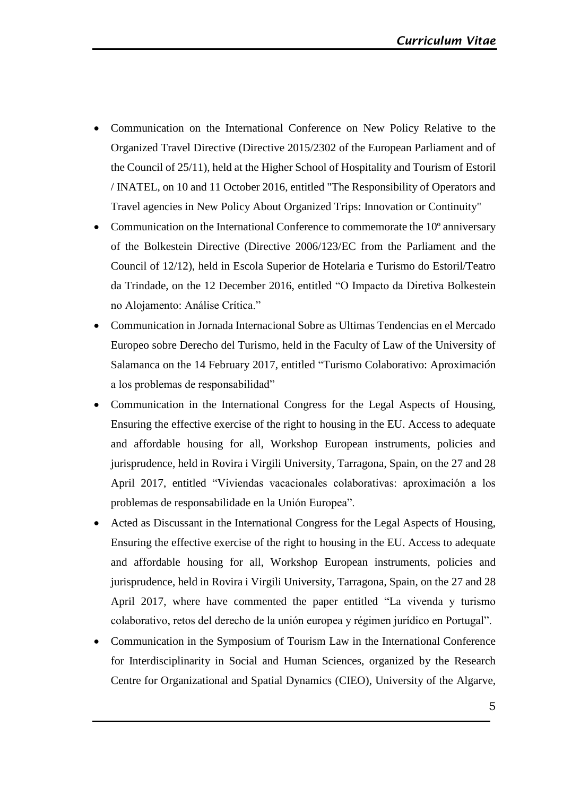- Communication on the International Conference on New Policy Relative to the Organized Travel Directive (Directive 2015/2302 of the European Parliament and of the Council of 25/11), held at the Higher School of Hospitality and Tourism of Estoril / INATEL, on 10 and 11 October 2016, entitled "The Responsibility of Operators and Travel agencies in New Policy About Organized Trips: Innovation or Continuity"
- Communication on the International Conference to commemorate the 10º anniversary of the Bolkestein Directive (Directive 2006/123/EC from the Parliament and the Council of 12/12), held in Escola Superior de Hotelaria e Turismo do Estoril/Teatro da Trindade, on the 12 December 2016, entitled "O Impacto da Diretiva Bolkestein no Alojamento: Análise Crítica."
- Communication in Jornada Internacional Sobre as Ultimas Tendencias en el Mercado Europeo sobre Derecho del Turismo, held in the Faculty of Law of the University of Salamanca on the 14 February 2017, entitled "Turismo Colaborativo: Aproximación a los problemas de responsabilidad"
- Communication in the International Congress for the Legal Aspects of Housing, Ensuring the effective exercise of the right to housing in the EU. Access to adequate and affordable housing for all, Workshop European instruments, policies and jurisprudence, held in Rovira i Virgili University, Tarragona, Spain, on the 27 and 28 April 2017, entitled "Viviendas vacacionales colaborativas: aproximación a los problemas de responsabilidade en la Unión Europea".
- Acted as Discussant in the International Congress for the Legal Aspects of Housing, Ensuring the effective exercise of the right to housing in the EU. Access to adequate and affordable housing for all, Workshop European instruments, policies and jurisprudence, held in Rovira i Virgili University, Tarragona, Spain, on the 27 and 28 April 2017, where have commented the paper entitled "La vivenda y turismo colaborativo, retos del derecho de la unión europea y régimen jurídico en Portugal".
- Communication in the Symposium of Tourism Law in the International Conference for Interdisciplinarity in Social and Human Sciences, organized by the Research Centre for Organizational and Spatial Dynamics (CIEO), University of the Algarve,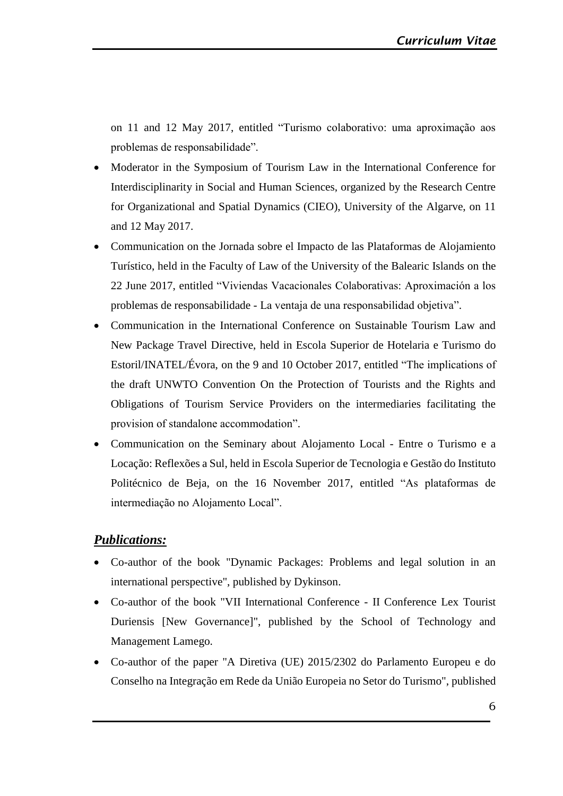on 11 and 12 May 2017, entitled "Turismo colaborativo: uma aproximação aos problemas de responsabilidade".

- Moderator in the Symposium of Tourism Law in the International Conference for Interdisciplinarity in Social and Human Sciences, organized by the Research Centre for Organizational and Spatial Dynamics (CIEO), University of the Algarve, on 11 and 12 May 2017.
- Communication on the Jornada sobre el Impacto de las Plataformas de Alojamiento Turístico, held in the Faculty of Law of the University of the Balearic Islands on the 22 June 2017, entitled "Viviendas Vacacionales Colaborativas: Aproximación a los problemas de responsabilidade - La ventaja de una responsabilidad objetiva".
- Communication in the International Conference on Sustainable Tourism Law and New Package Travel Directive, held in Escola Superior de Hotelaria e Turismo do Estoril/INATEL/Évora, on the 9 and 10 October 2017, entitled "The implications of the draft UNWTO Convention On the Protection of Tourists and the Rights and Obligations of Tourism Service Providers on the intermediaries facilitating the provision of standalone accommodation".
- Communication on the Seminary about Alojamento Local Entre o Turismo e a Locação: Reflexões a Sul, held in Escola Superior de Tecnologia e Gestão do Instituto Politécnico de Beja, on the 16 November 2017, entitled "As plataformas de intermediação no Alojamento Local".

#### *Publications:*

- Co-author of the book "Dynamic Packages: Problems and legal solution in an international perspective", published by Dykinson.
- Co-author of the book "VII International Conference II Conference Lex Tourist Duriensis [New Governance]", published by the School of Technology and Management Lamego.
- Co-author of the paper "A Diretiva (UE) 2015/2302 do Parlamento Europeu e do Conselho na Integração em Rede da União Europeia no Setor do Turismo", published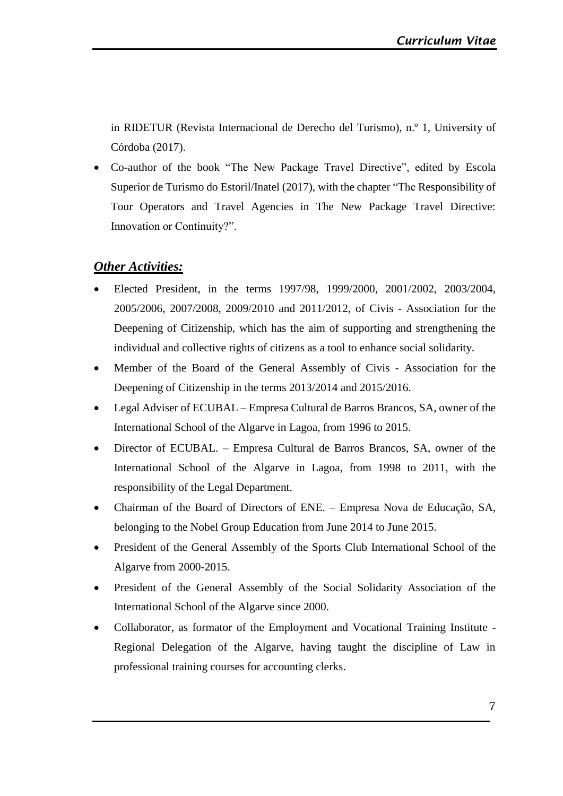in RIDETUR (Revista Internacional de Derecho del Turismo), n.º 1, University of Córdoba (2017).

• Co-author of the book "The New Package Travel Directive", edited by Escola Superior de Turismo do Estoril/Inatel (2017), with the chapter "The Responsibility of Tour Operators and Travel Agencies in The New Package Travel Directive: Innovation or Continuity?".

## *Other Activities:*

- Elected President, in the terms 1997/98, 1999/2000, 2001/2002, 2003/2004, 2005/2006, 2007/2008, 2009/2010 and 2011/2012, of Civis - Association for the Deepening of Citizenship, which has the aim of supporting and strengthening the individual and collective rights of citizens as a tool to enhance social solidarity.
- Member of the Board of the General Assembly of Civis Association for the Deepening of Citizenship in the terms 2013/2014 and 2015/2016.
- Legal Adviser of ECUBAL Empresa Cultural de Barros Brancos, SA, owner of the International School of the Algarve in Lagoa, from 1996 to 2015.
- Director of ECUBAL. Empresa Cultural de Barros Brancos, SA, owner of the International School of the Algarve in Lagoa, from 1998 to 2011, with the responsibility of the Legal Department.
- Chairman of the Board of Directors of ENE. Empresa Nova de Educação, SA, belonging to the Nobel Group Education from June 2014 to June 2015.
- President of the General Assembly of the Sports Club International School of the Algarve from 2000-2015.
- President of the General Assembly of the Social Solidarity Association of the International School of the Algarve since 2000.
- Collaborator, as formator of the Employment and Vocational Training Institute Regional Delegation of the Algarve, having taught the discipline of Law in professional training courses for accounting clerks.